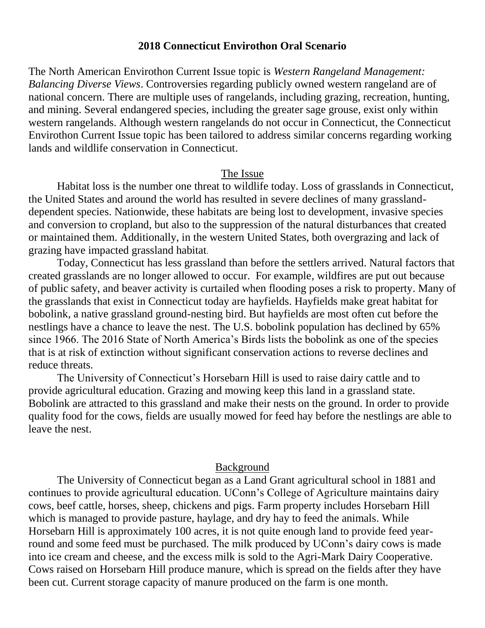## **2018 Connecticut Envirothon Oral Scenario**

The North American Envirothon Current Issue topic is *Western Rangeland Management: Balancing Diverse Views*. Controversies regarding publicly owned western rangeland are of national concern. There are multiple uses of rangelands, including grazing, recreation, hunting, and mining. Several endangered species, including the greater sage grouse, exist only within western rangelands. Although western rangelands do not occur in Connecticut, the Connecticut Envirothon Current Issue topic has been tailored to address similar concerns regarding working lands and wildlife conservation in Connecticut.

## The Issue

Habitat loss is the number one threat to wildlife today. Loss of grasslands in Connecticut, the United States and around the world has resulted in severe declines of many grasslanddependent species. Nationwide, these habitats are being lost to development, invasive species and conversion to cropland, but also to the suppression of the natural disturbances that created or maintained them. Additionally, in the western United States, both overgrazing and lack of grazing have impacted grassland habitat*.*

Today, Connecticut has less grassland than before the settlers arrived. Natural factors that created grasslands are no longer allowed to occur. For example, wildfires are put out because of public safety, and beaver activity is curtailed when flooding poses a risk to property. Many of the grasslands that exist in Connecticut today are hayfields. Hayfields make great habitat for bobolink, a native grassland ground-nesting bird. But hayfields are most often cut before the nestlings have a chance to leave the nest. The U.S. bobolink population has declined by 65% since 1966. The 2016 State of North America's Birds lists the bobolink as one of the species that is at risk of extinction without significant conservation actions to reverse declines and reduce threats.

The University of Connecticut's Horsebarn Hill is used to raise dairy cattle and to provide agricultural education. Grazing and mowing keep this land in a grassland state. Bobolink are attracted to this grassland and make their nests on the ground. In order to provide quality food for the cows, fields are usually mowed for feed hay before the nestlings are able to leave the nest.

## Background

The University of Connecticut began as a Land Grant agricultural school in 1881 and continues to provide agricultural education. UConn's College of Agriculture maintains dairy cows, beef cattle, horses, sheep, chickens and pigs. Farm property includes Horsebarn Hill which is managed to provide pasture, haylage, and dry hay to feed the animals. While Horsebarn Hill is approximately 100 acres, it is not quite enough land to provide feed yearround and some feed must be purchased. The milk produced by UConn's dairy cows is made into ice cream and cheese, and the excess milk is sold to the Agri-Mark Dairy Cooperative. Cows raised on Horsebarn Hill produce manure, which is spread on the fields after they have been cut. Current storage capacity of manure produced on the farm is one month.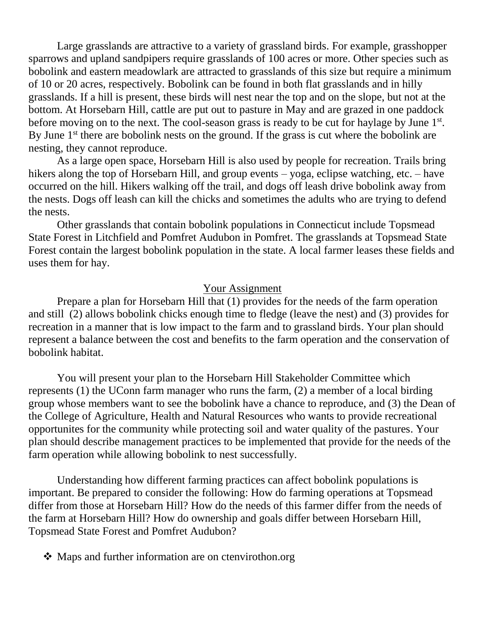Large grasslands are attractive to a variety of grassland birds. For example, grasshopper sparrows and upland sandpipers require grasslands of 100 acres or more. Other species such as bobolink and eastern meadowlark are attracted to grasslands of this size but require a minimum of 10 or 20 acres, respectively. Bobolink can be found in both flat grasslands and in hilly grasslands. If a hill is present, these birds will nest near the top and on the slope, but not at the bottom. At Horsebarn Hill, cattle are put out to pasture in May and are grazed in one paddock before moving on to the next. The cool-season grass is ready to be cut for haylage by June  $1<sup>st</sup>$ . By June 1<sup>st</sup> there are bobolink nests on the ground. If the grass is cut where the bobolink are nesting, they cannot reproduce.

As a large open space, Horsebarn Hill is also used by people for recreation. Trails bring hikers along the top of Horsebarn Hill, and group events – yoga, eclipse watching, etc. – have occurred on the hill. Hikers walking off the trail, and dogs off leash drive bobolink away from the nests. Dogs off leash can kill the chicks and sometimes the adults who are trying to defend the nests.

Other grasslands that contain bobolink populations in Connecticut include Topsmead State Forest in Litchfield and Pomfret Audubon in Pomfret. The grasslands at Topsmead State Forest contain the largest bobolink population in the state. A local farmer leases these fields and uses them for hay.

## Your Assignment

Prepare a plan for Horsebarn Hill that (1) provides for the needs of the farm operation and still (2) allows bobolink chicks enough time to fledge (leave the nest) and (3) provides for recreation in a manner that is low impact to the farm and to grassland birds. Your plan should represent a balance between the cost and benefits to the farm operation and the conservation of bobolink habitat.

You will present your plan to the Horsebarn Hill Stakeholder Committee which represents (1) the UConn farm manager who runs the farm, (2) a member of a local birding group whose members want to see the bobolink have a chance to reproduce, and (3) the Dean of the College of Agriculture, Health and Natural Resources who wants to provide recreational opportunites for the community while protecting soil and water quality of the pastures. Your plan should describe management practices to be implemented that provide for the needs of the farm operation while allowing bobolink to nest successfully.

Understanding how different farming practices can affect bobolink populations is important. Be prepared to consider the following: How do farming operations at Topsmead differ from those at Horsebarn Hill? How do the needs of this farmer differ from the needs of the farm at Horsebarn Hill? How do ownership and goals differ between Horsebarn Hill, Topsmead State Forest and Pomfret Audubon?

❖ Maps and further information are on ctenvirothon.org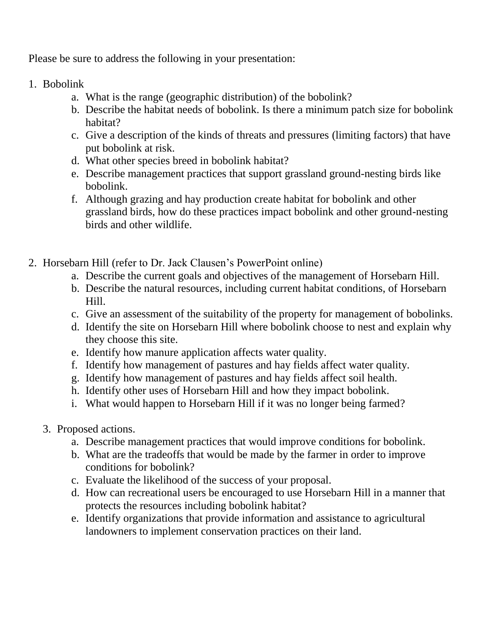Please be sure to address the following in your presentation:

- 1. Bobolink
	- a. What is the range (geographic distribution) of the bobolink?
	- b. Describe the habitat needs of bobolink. Is there a minimum patch size for bobolink habitat?
	- c. Give a description of the kinds of threats and pressures (limiting factors) that have put bobolink at risk.
	- d. What other species breed in bobolink habitat?
	- e. Describe management practices that support grassland ground-nesting birds like bobolink.
	- f. Although grazing and hay production create habitat for bobolink and other grassland birds, how do these practices impact bobolink and other ground-nesting birds and other wildlife.
- 2. Horsebarn Hill (refer to Dr. Jack Clausen's PowerPoint online)
	- a. Describe the current goals and objectives of the management of Horsebarn Hill.
	- b. Describe the natural resources, including current habitat conditions, of Horsebarn Hill.
	- c. Give an assessment of the suitability of the property for management of bobolinks.
	- d. Identify the site on Horsebarn Hill where bobolink choose to nest and explain why they choose this site.
	- e. Identify how manure application affects water quality.
	- f. Identify how management of pastures and hay fields affect water quality.
	- g. Identify how management of pastures and hay fields affect soil health.
	- h. Identify other uses of Horsebarn Hill and how they impact bobolink.
	- i. What would happen to Horsebarn Hill if it was no longer being farmed?
	- 3. Proposed actions.
		- a. Describe management practices that would improve conditions for bobolink.
		- b. What are the tradeoffs that would be made by the farmer in order to improve conditions for bobolink?
		- c. Evaluate the likelihood of the success of your proposal.
		- d. How can recreational users be encouraged to use Horsebarn Hill in a manner that protects the resources including bobolink habitat?
		- e. Identify organizations that provide information and assistance to agricultural landowners to implement conservation practices on their land.